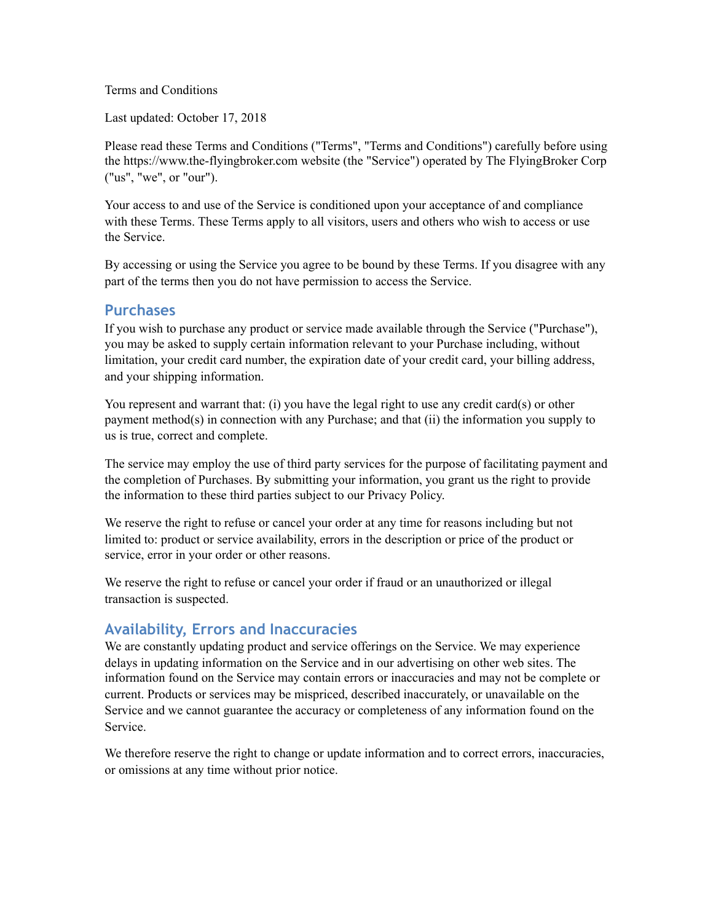Terms and Conditions

Last updated: October 17, 2018

Please read these Terms and Conditions ("Terms", "Terms and Conditions") carefully before using the https://www.the-flyingbroker.com website (the "Service") operated by The FlyingBroker Corp ("us", "we", or "our").

Your access to and use of the Service is conditioned upon your acceptance of and compliance with these Terms. These Terms apply to all visitors, users and others who wish to access or use the Service.

By accessing or using the Service you agree to be bound by these Terms. If you disagree with any part of the terms then you do not have permission to access the Service.

#### **Purchases**

If you wish to purchase any product or service made available through the Service ("Purchase"), you may be asked to supply certain information relevant to your Purchase including, without limitation, your credit card number, the expiration date of your credit card, your billing address, and your shipping information.

You represent and warrant that: (i) you have the legal right to use any credit card(s) or other payment method(s) in connection with any Purchase; and that (ii) the information you supply to us is true, correct and complete.

The service may employ the use of third party services for the purpose of facilitating payment and the completion of Purchases. By submitting your information, you grant us the right to provide the information to these third parties subject to our Privacy Policy.

We reserve the right to refuse or cancel your order at any time for reasons including but not limited to: product or service availability, errors in the description or price of the product or service, error in your order or other reasons.

We reserve the right to refuse or cancel your order if fraud or an unauthorized or illegal transaction is suspected.

#### **Availability, Errors and Inaccuracies**

We are constantly updating product and service offerings on the Service. We may experience delays in updating information on the Service and in our advertising on other web sites. The information found on the Service may contain errors or inaccuracies and may not be complete or current. Products or services may be mispriced, described inaccurately, or unavailable on the Service and we cannot guarantee the accuracy or completeness of any information found on the Service.

We therefore reserve the right to change or update information and to correct errors, inaccuracies, or omissions at any time without prior notice.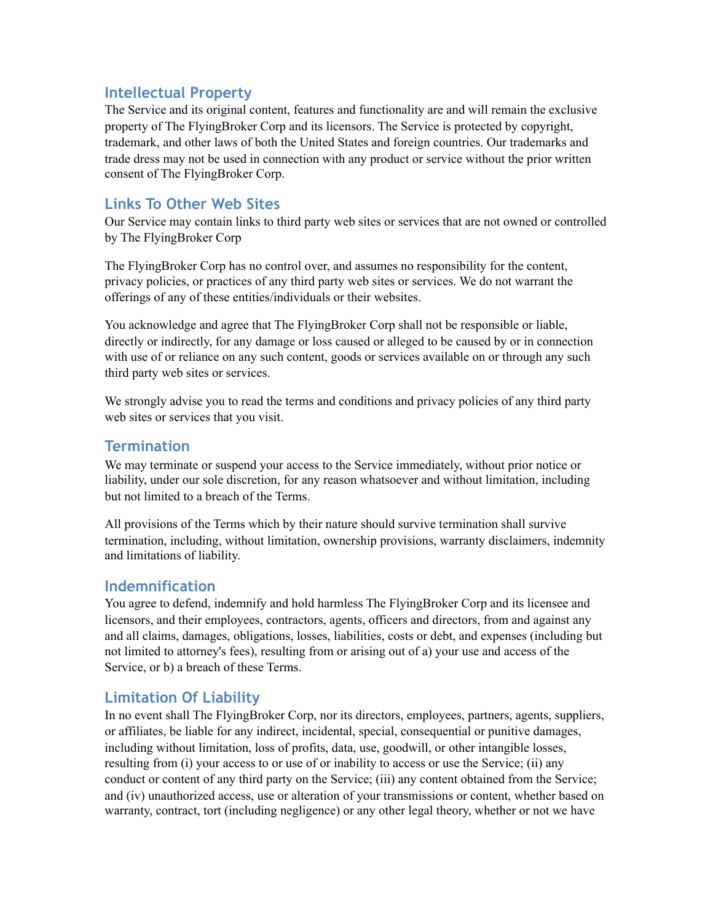## **Intellectual Property**

The Service and its original content, features and functionality are and will remain the exclusive property of The FlyingBroker Corp and its licensors. The Service is protected by copyright, trademark, and other laws of both the United States and foreign countries. Our trademarks and trade dress may not be used in connection with any product or service without the prior written consent of The FlyingBroker Corp.

## **Links To Other Web Sites**

Our Service may contain links to third party web sites or services that are not owned or controlled by The FlyingBroker Corp

The FlyingBroker Corp has no control over, and assumes no responsibility for the content, privacy policies, or practices of any third party web sites or services. We do not warrant the offerings of any of these entities/individuals or their websites.

You acknowledge and agree that The FlyingBroker Corp shall not be responsible or liable, directly or indirectly, for any damage or loss caused or alleged to be caused by or in connection with use of or reliance on any such content, goods or services available on or through any such third party web sites or services.

We strongly advise you to read the terms and conditions and privacy policies of any third party web sites or services that you visit.

#### **Termination**

We may terminate or suspend your access to the Service immediately, without prior notice or liability, under our sole discretion, for any reason whatsoever and without limitation, including but not limited to a breach of the Terms.

All provisions of the Terms which by their nature should survive termination shall survive termination, including, without limitation, ownership provisions, warranty disclaimers, indemnity and limitations of liability.

### **Indemnification**

You agree to defend, indemnify and hold harmless The FlyingBroker Corp and its licensee and licensors, and their employees, contractors, agents, officers and directors, from and against any and all claims, damages, obligations, losses, liabilities, costs or debt, and expenses (including but not limited to attorney's fees), resulting from or arising out of a) your use and access of the Service, or b) a breach of these Terms.

### **Limitation Of Liability**

In no event shall The FlyingBroker Corp, nor its directors, employees, partners, agents, suppliers, or affiliates, be liable for any indirect, incidental, special, consequential or punitive damages, including without limitation, loss of profits, data, use, goodwill, or other intangible losses, resulting from (i) your access to or use of or inability to access or use the Service; (ii) any conduct or content of any third party on the Service; (iii) any content obtained from the Service; and (iv) unauthorized access, use or alteration of your transmissions or content, whether based on warranty, contract, tort (including negligence) or any other legal theory, whether or not we have